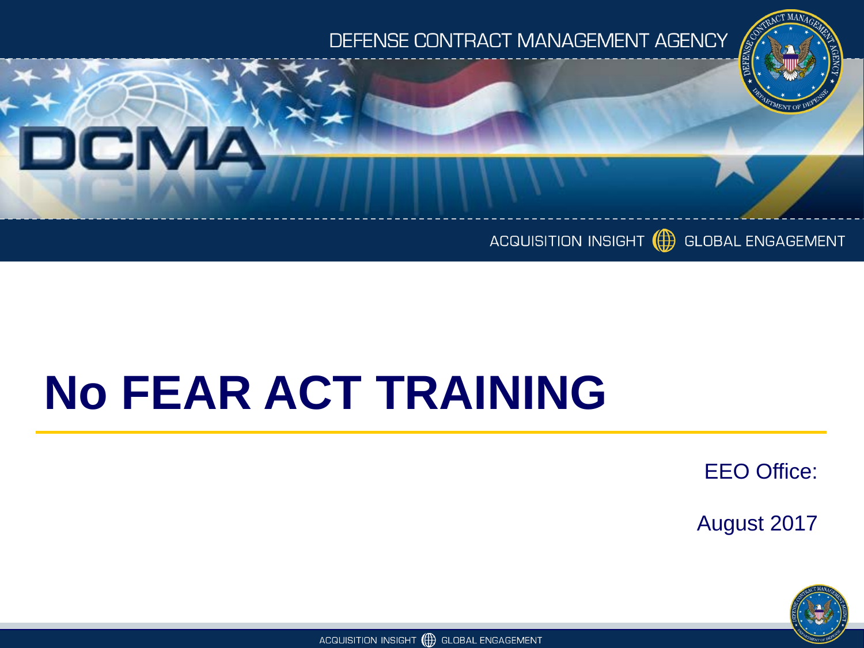#### DEFENSE CONTRACT MANAGEMENT AGENCY



#### ACQUISITION INSIGHT (D) GLOBAL ENGAGEMENT

# **No FEAR ACT TRAINING**

EEO Office:

August 2017

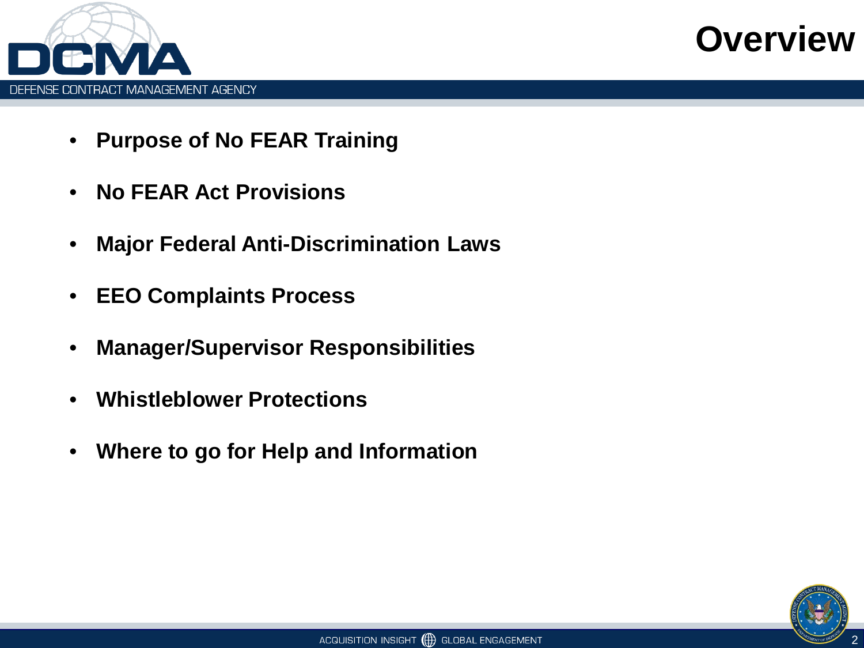



- **Purpose of No FEAR Training**
- **No FEAR Act Provisions**
- **Major Federal Anti-Discrimination Laws**
- **EEO Complaints Process**
- **Manager/Supervisor Responsibilities**
- **Whistleblower Protections**
- **Where to go for Help and Information**

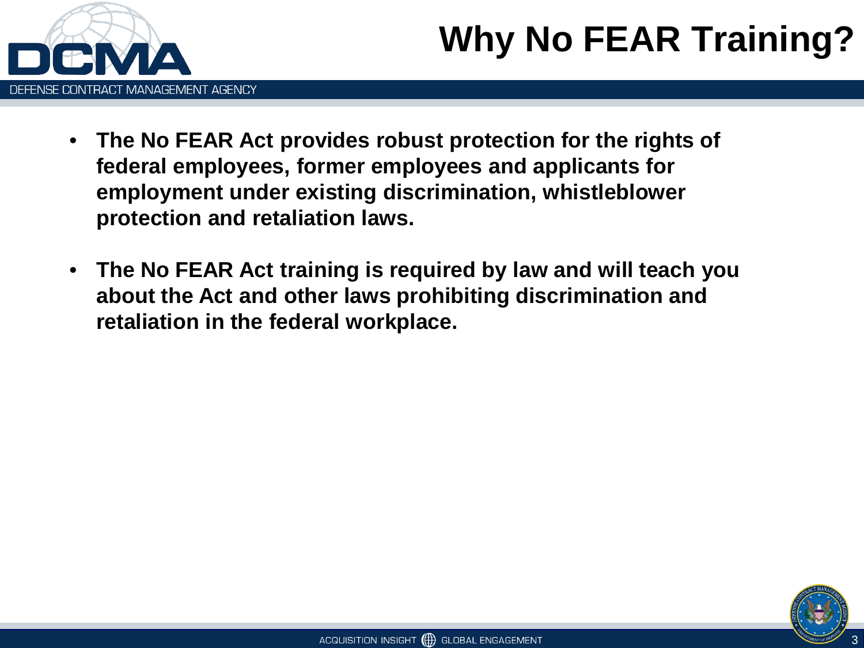

## **Why No FEAR Training?**

- **The No FEAR Act provides robust protection for the rights of federal employees, former employees and applicants for employment under existing discrimination, whistleblower protection and retaliation laws.**
- **The No FEAR Act training is required by law and will teach you about the Act and other laws prohibiting discrimination and retaliation in the federal workplace.**

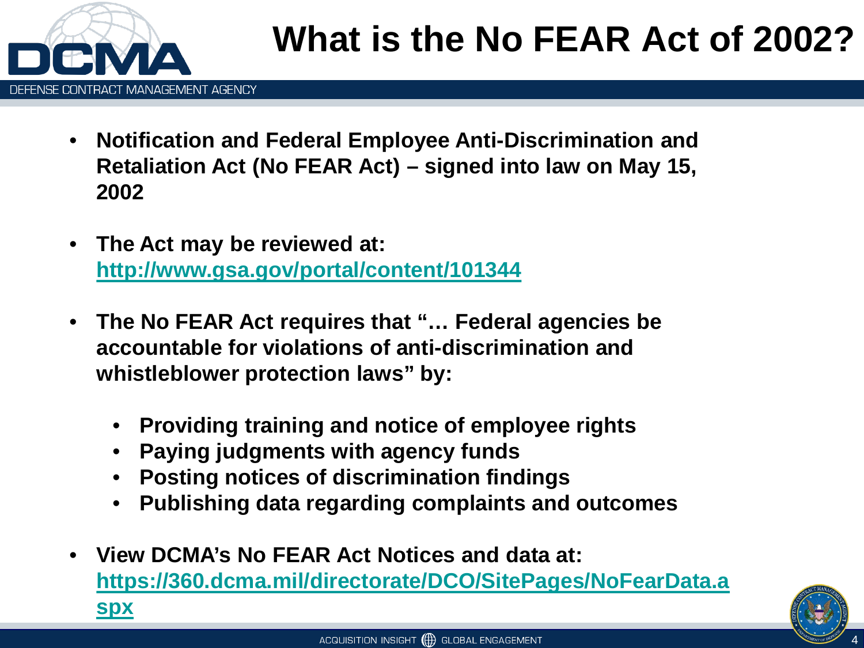

## **What is the No FEAR Act of 2002?**

- **Notification and Federal Employee Anti-Discrimination and Retaliation Act (No FEAR Act) – signed into law on May 15, 2002**
- **The Act may be reviewed at: <http://www.gsa.gov/portal/content/101344>**
- **The No FEAR Act requires that "… Federal agencies be accountable for violations of anti-discrimination and whistleblower protection laws" by:**
	- **Providing training and notice of employee rights**
	- **Paying judgments with agency funds**
	- **Posting notices of discrimination findings**
	- **Publishing data regarding complaints and outcomes**
- **View DCMA's No FEAR Act Notices and data at: [https://360.dcma.mil/directorate/DCO/SitePages/NoFearData.a](https://360.dcma.mil/directorate/DCO/SitePages/NoFearData.aspx) spx**

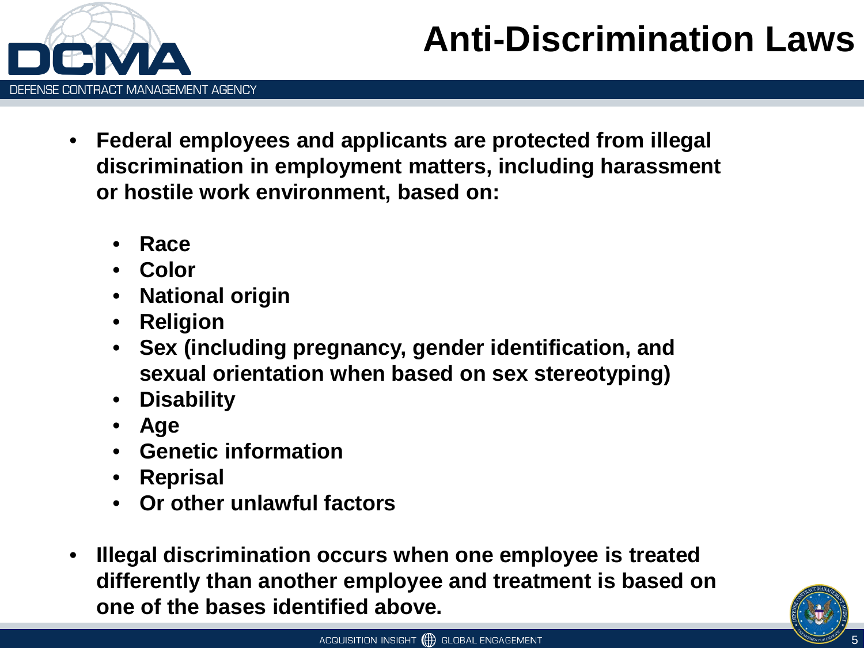

## **Anti-Discrimination Laws**

- **Federal employees and applicants are protected from illegal discrimination in employment matters, including harassment or hostile work environment, based on:**
	- **Race**
	- **Color**
	- **National origin**
	- **Religion**
	- **Sex (including pregnancy, gender identification, and sexual orientation when based on sex stereotyping)**
	- **Disability**
	- **Age**
	- **Genetic information**
	- **Reprisal**
	- **Or other unlawful factors**
- **Illegal discrimination occurs when one employee is treated differently than another employee and treatment is based on one of the bases identified above.**

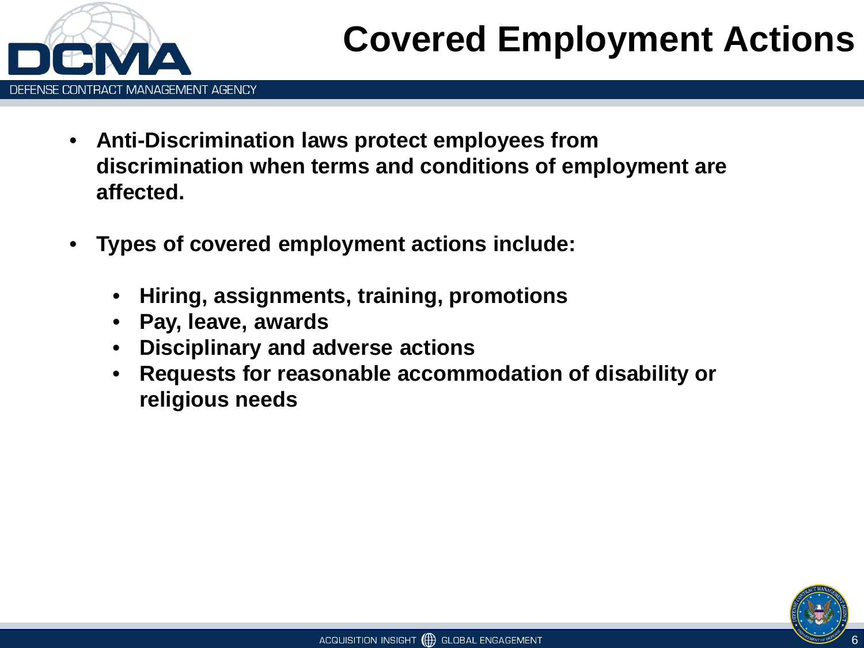

- **Anti-Discrimination laws protect employees from discrimination when terms and conditions of employment are affected.**
- **Types of covered employment actions include:**
	- **Hiring, assignments, training, promotions**
	- **Pay, leave, awards**
	- **Disciplinary and adverse actions**
	- **Requests for reasonable accommodation of disability or religious needs**

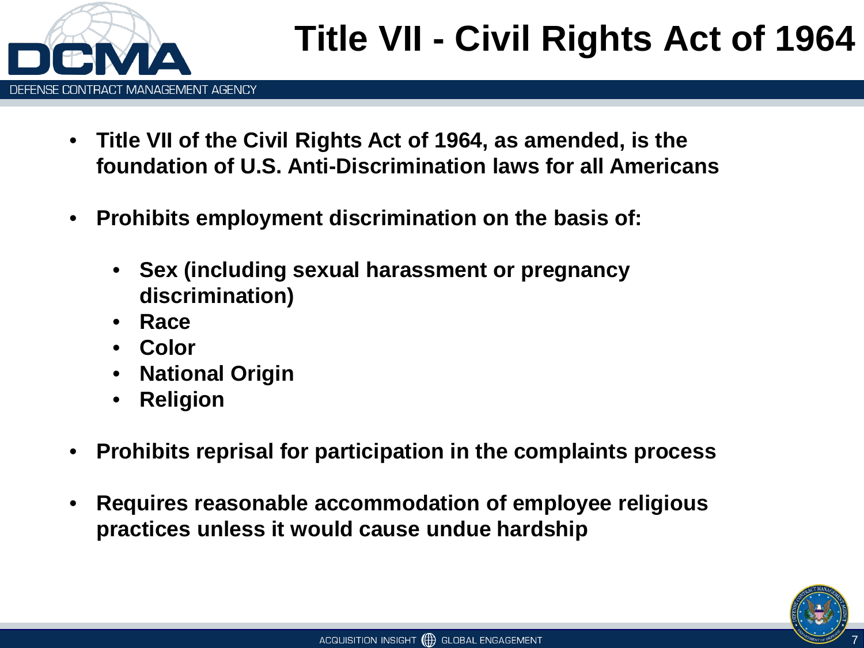

## **Title VII - Civil Rights Act of 1964**

- **Title VII of the Civil Rights Act of 1964, as amended, is the foundation of U.S. Anti-Discrimination laws for all Americans**
- **Prohibits employment discrimination on the basis of:**
	- **Sex (including sexual harassment or pregnancy discrimination)**
	- **Race**
	- **Color**
	- **National Origin**
	- **Religion**
- **Prohibits reprisal for participation in the complaints process**
- **Requires reasonable accommodation of employee religious practices unless it would cause undue hardship**

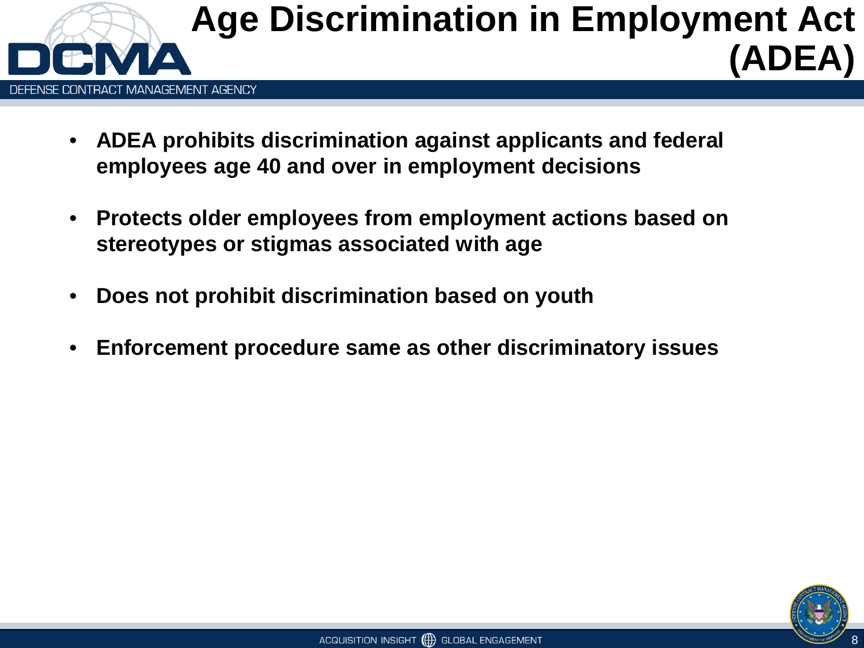

### **Age Discrimination in Employment Act (ADEA)**

- **ADEA prohibits discrimination against applicants and federal employees age 40 and over in employment decisions**
- **Protects older employees from employment actions based on stereotypes or stigmas associated with age**
- **Does not prohibit discrimination based on youth**
- **Enforcement procedure same as other discriminatory issues**

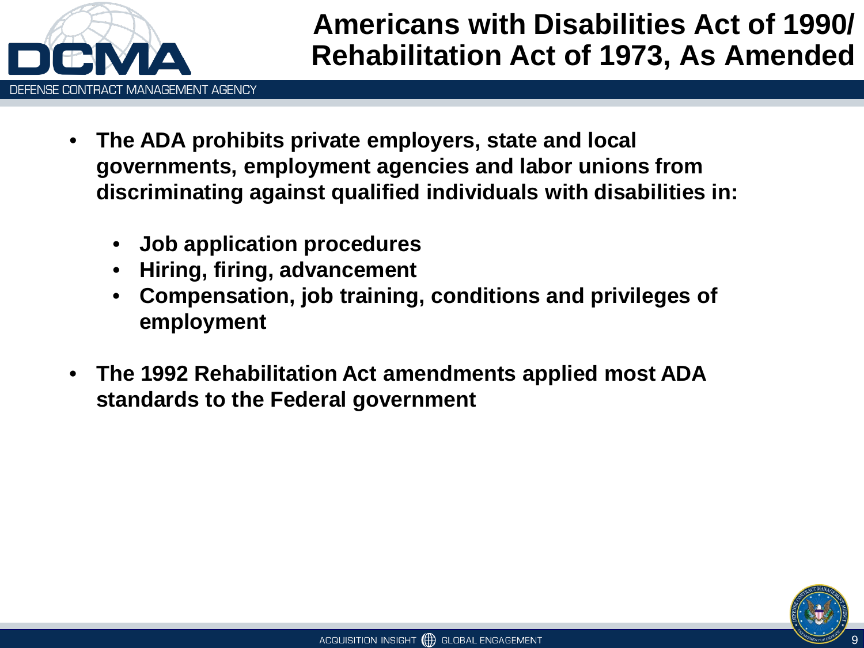

- **The ADA prohibits private employers, state and local governments, employment agencies and labor unions from discriminating against qualified individuals with disabilities in:**
	- **Job application procedures**
	- **Hiring, firing, advancement**
	- **Compensation, job training, conditions and privileges of employment**
- **The 1992 Rehabilitation Act amendments applied most ADA standards to the Federal government**

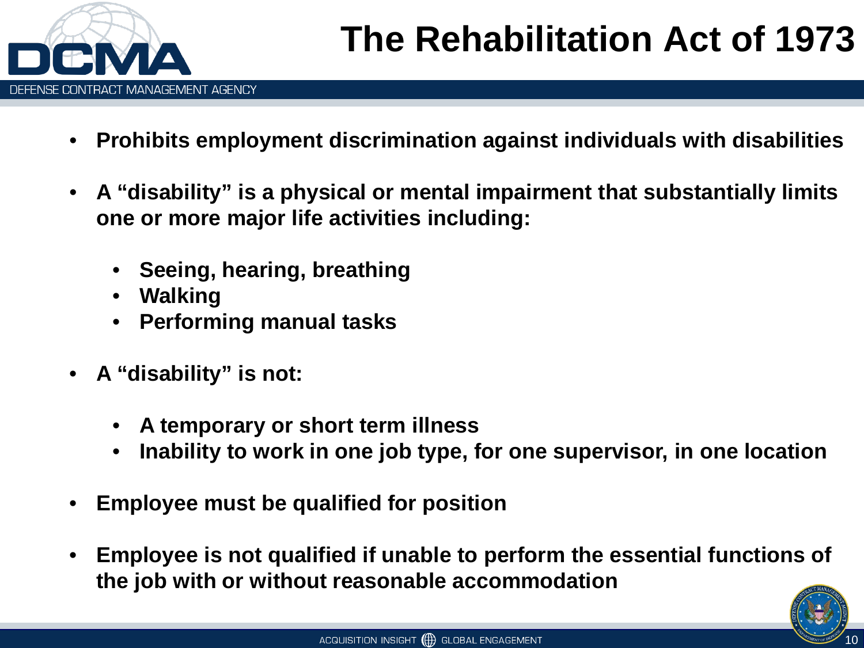

- **Prohibits employment discrimination against individuals with disabilities**
- **A "disability" is a physical or mental impairment that substantially limits one or more major life activities including:**
	- **Seeing, hearing, breathing**
	- **Walking**
	- **Performing manual tasks**
- **A "disability" is not:**
	- **A temporary or short term illness**
	- **Inability to work in one job type, for one supervisor, in one location**
- **Employee must be qualified for position**
- **Employee is not qualified if unable to perform the essential functions of the job with or without reasonable accommodation**

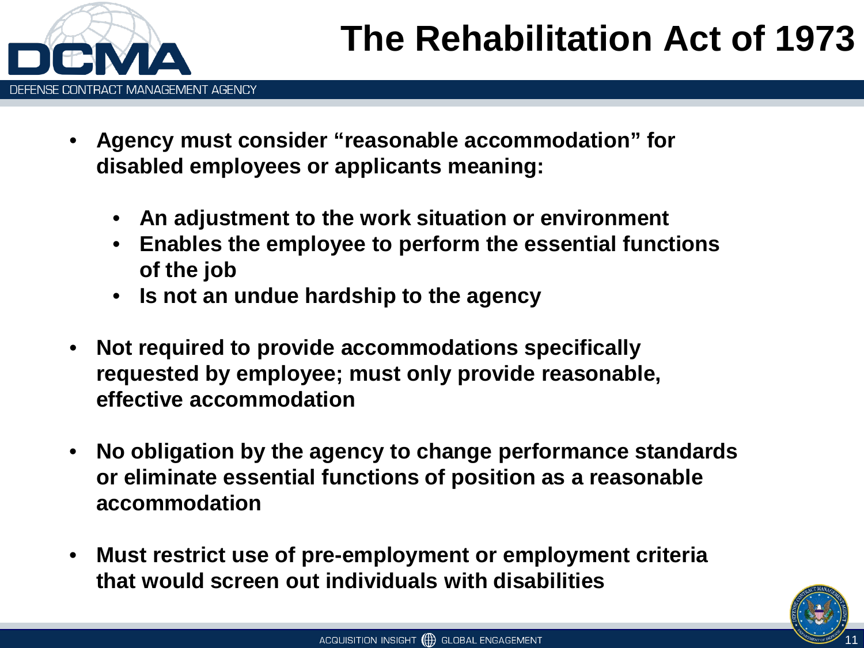

- **Agency must consider "reasonable accommodation" for disabled employees or applicants meaning:**
	- **An adjustment to the work situation or environment**
	- **Enables the employee to perform the essential functions of the job**
	- **Is not an undue hardship to the agency**
- **Not required to provide accommodations specifically requested by employee; must only provide reasonable, effective accommodation**
- **No obligation by the agency to change performance standards or eliminate essential functions of position as a reasonable accommodation**
- **Must restrict use of pre-employment or employment criteria that would screen out individuals with disabilities**

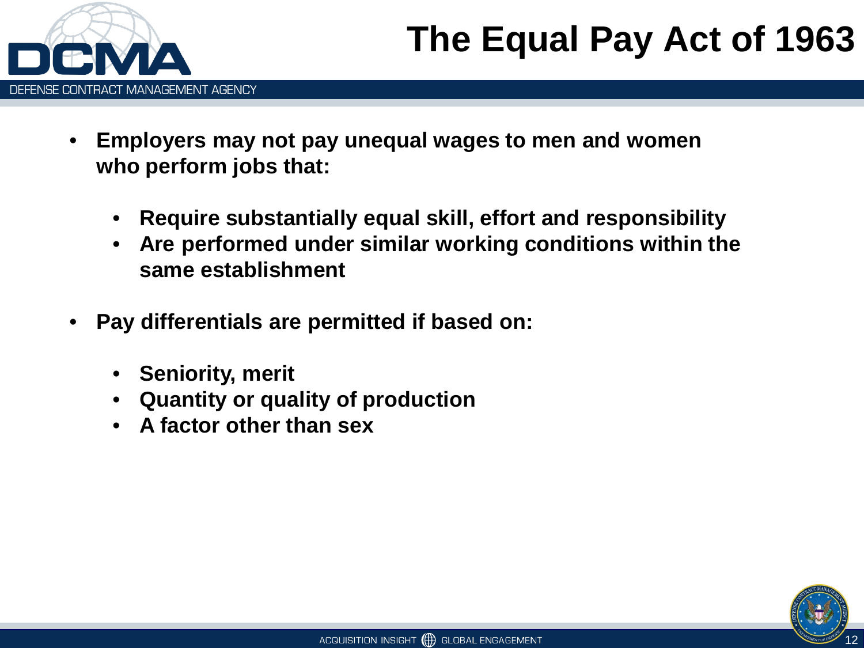

- **Employers may not pay unequal wages to men and women who perform jobs that:**
	- **Require substantially equal skill, effort and responsibility**
	- **Are performed under similar working conditions within the same establishment**
- **Pay differentials are permitted if based on:**
	- **Seniority, merit**
	- **Quantity or quality of production**
	- **A factor other than sex**

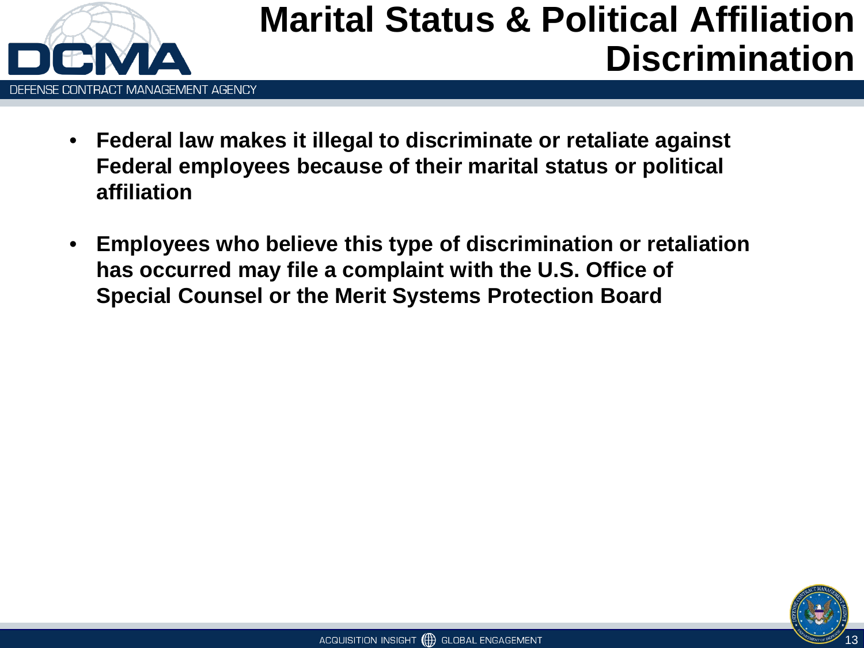

#### **Marital Status & Political Affiliation Discrimination**

- **Federal law makes it illegal to discriminate or retaliate against Federal employees because of their marital status or political affiliation**
- **Employees who believe this type of discrimination or retaliation has occurred may file a complaint with the U.S. Office of Special Counsel or the Merit Systems Protection Board**

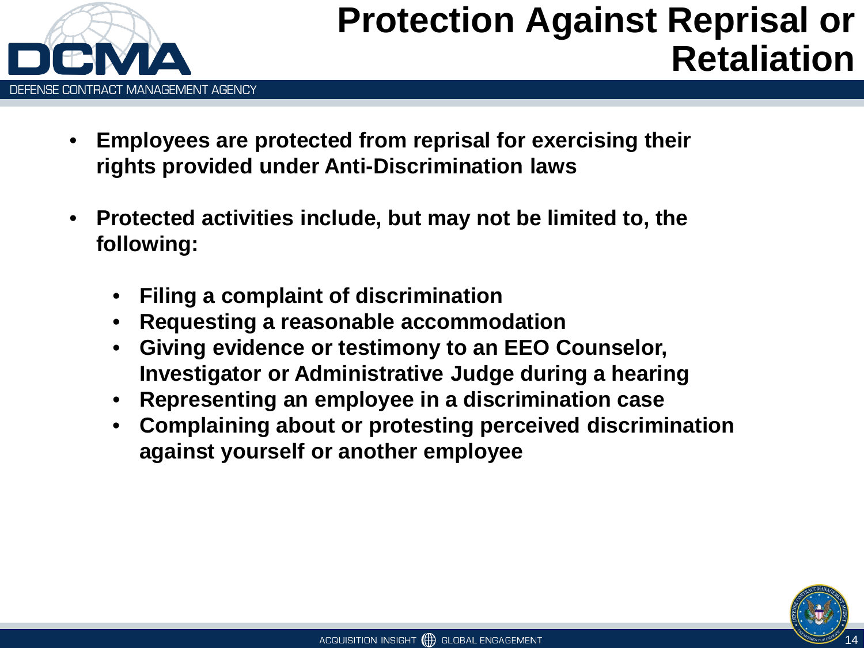

- **Employees are protected from reprisal for exercising their rights provided under Anti-Discrimination laws**
- **Protected activities include, but may not be limited to, the following:**
	- **Filing a complaint of discrimination**
	- **Requesting a reasonable accommodation**
	- **Giving evidence or testimony to an EEO Counselor, Investigator or Administrative Judge during a hearing**
	- **Representing an employee in a discrimination case**
	- **Complaining about or protesting perceived discrimination against yourself or another employee**

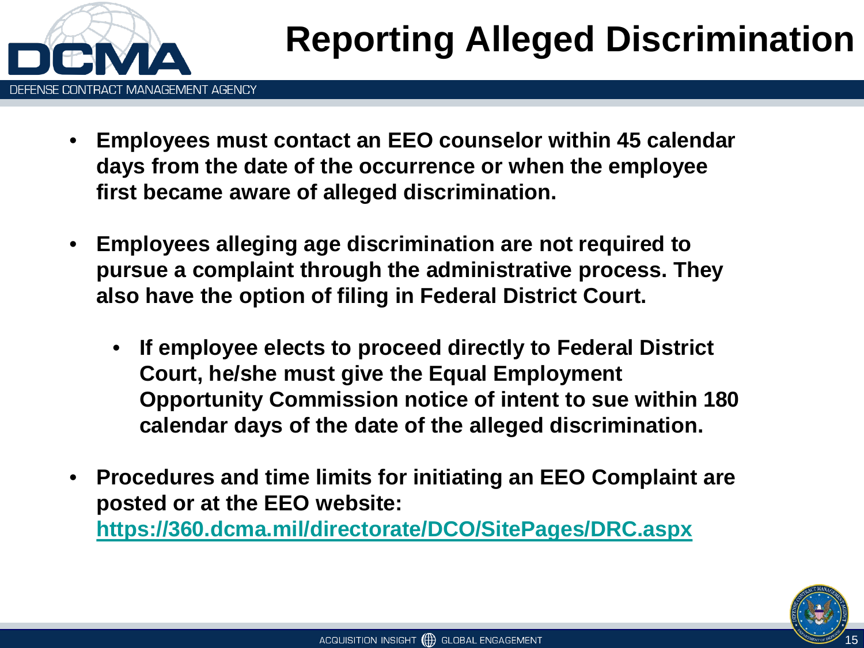

- **Employees must contact an EEO counselor within 45 calendar days from the date of the occurrence or when the employee first became aware of alleged discrimination.**
- **Employees alleging age discrimination are not required to pursue a complaint through the administrative process. They also have the option of filing in Federal District Court.**
	- **If employee elects to proceed directly to Federal District Court, he/she must give the Equal Employment Opportunity Commission notice of intent to sue within 180 calendar days of the date of the alleged discrimination.**
- **Procedures and time limits for initiating an EEO Complaint are posted or at the EEO website: <https://360.dcma.mil/directorate/DCO/SitePages/DRC.aspx>**

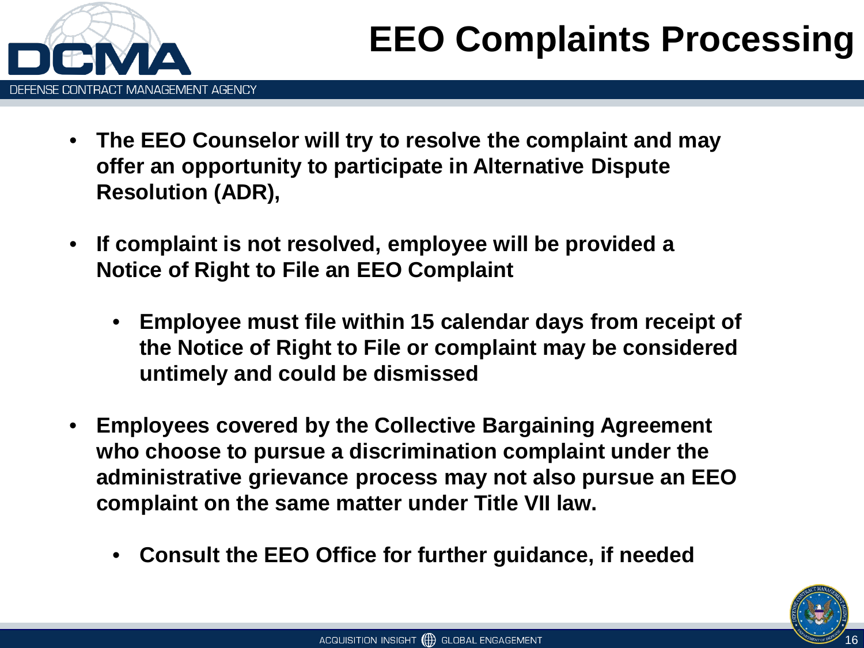

- **The EEO Counselor will try to resolve the complaint and may offer an opportunity to participate in Alternative Dispute Resolution (ADR),**
- **If complaint is not resolved, employee will be provided a Notice of Right to File an EEO Complaint**
	- **Employee must file within 15 calendar days from receipt of the Notice of Right to File or complaint may be considered untimely and could be dismissed**
- **Employees covered by the Collective Bargaining Agreement who choose to pursue a discrimination complaint under the administrative grievance process may not also pursue an EEO complaint on the same matter under Title VII law.**
	- **Consult the EEO Office for further guidance, if needed**

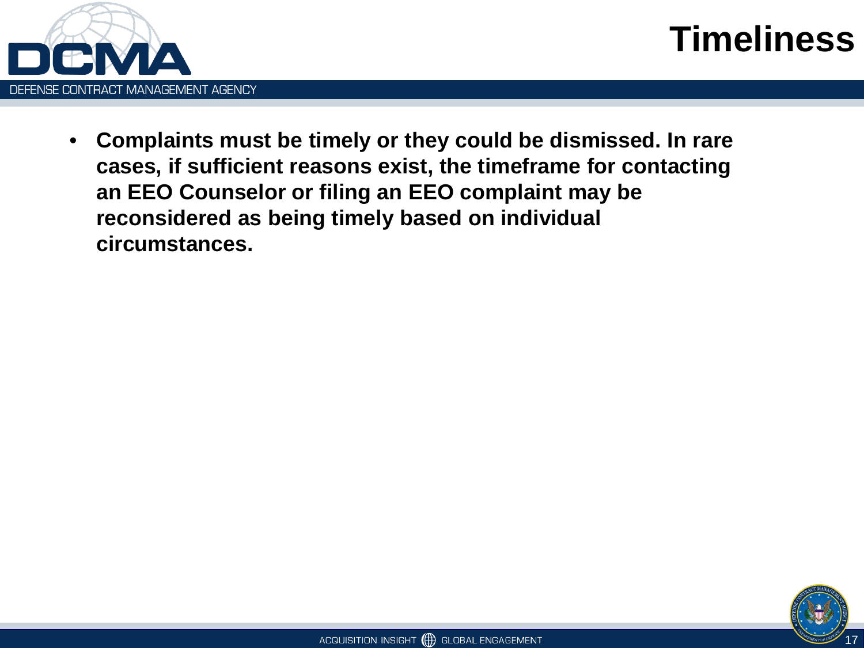

### **Timeliness**

• **Complaints must be timely or they could be dismissed. In rare cases, if sufficient reasons exist, the timeframe for contacting an EEO Counselor or filing an EEO complaint may be reconsidered as being timely based on individual circumstances.**

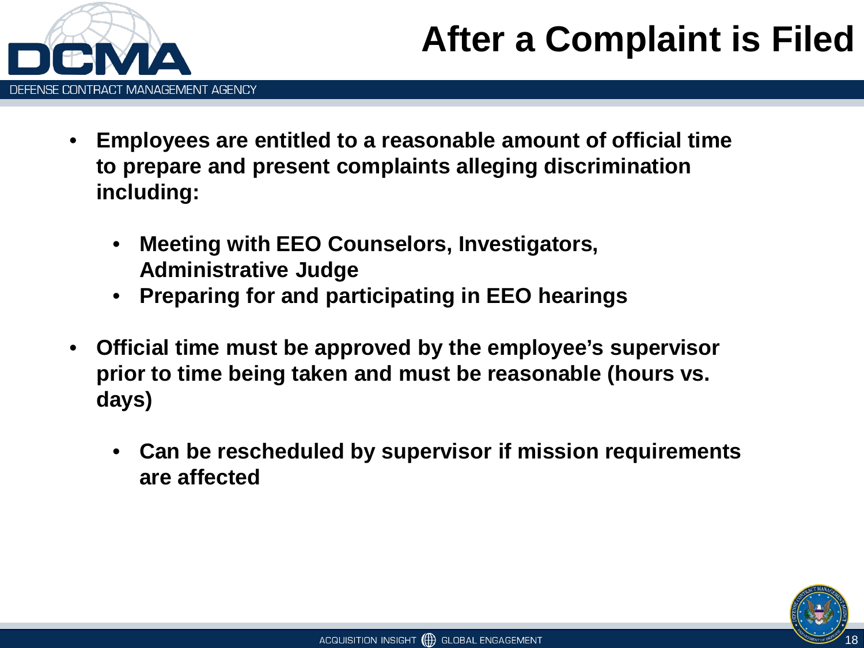

## **After a Complaint is Filed**

- **Employees are entitled to a reasonable amount of official time to prepare and present complaints alleging discrimination including:**
	- **Meeting with EEO Counselors, Investigators, Administrative Judge**
	- **Preparing for and participating in EEO hearings**
- **Official time must be approved by the employee's supervisor prior to time being taken and must be reasonable (hours vs. days)**
	- **Can be rescheduled by supervisor if mission requirements are affected**

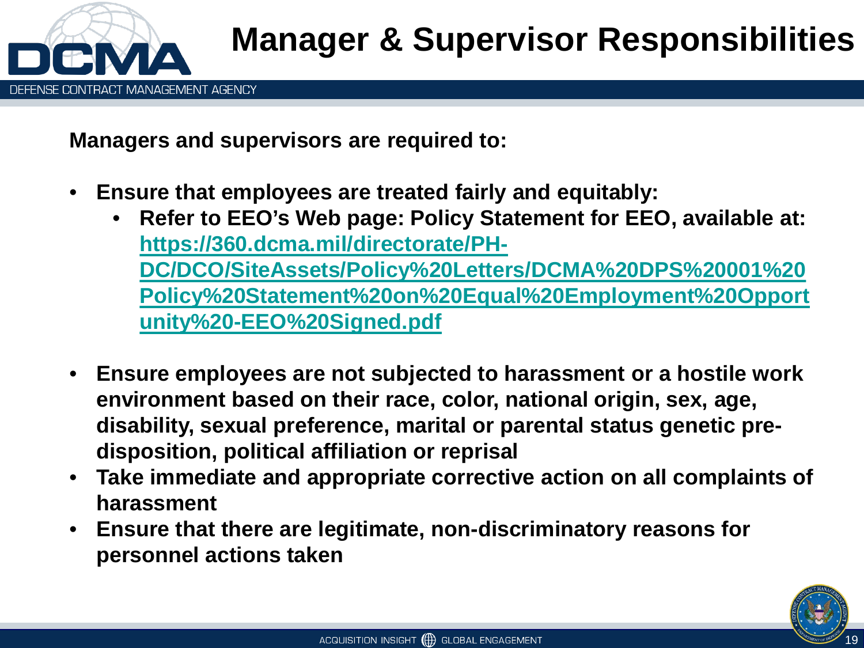

**Managers and supervisors are required to:**

- **Ensure that employees are treated fairly and equitably:**
	- **Refer to EEO's Web page: Policy Statement for EEO, available at: https://360.dcma.mil/directorate/PH-DC/DCO/SiteAssets/Policy%20Letters/DCMA%20DPS%20001%20 [Policy%20Statement%20on%20Equal%20Employment%20Opport](https://360.dcma.mil/directorate/PH-DC/DCO/SiteAssets/Policy%20Letters/DCMA%20DPS%20001%20Policy%20Statement%20on%20Equal%20Employment%20Opportunity%20-EEO%20Signed.pdf) unity%20-EEO%20Signed.pdf**
- **Ensure employees are not subjected to harassment or a hostile work environment based on their race, color, national origin, sex, age, disability, sexual preference, marital or parental status genetic predisposition, political affiliation or reprisal**
- **Take immediate and appropriate corrective action on all complaints of harassment**
- **Ensure that there are legitimate, non-discriminatory reasons for personnel actions taken**

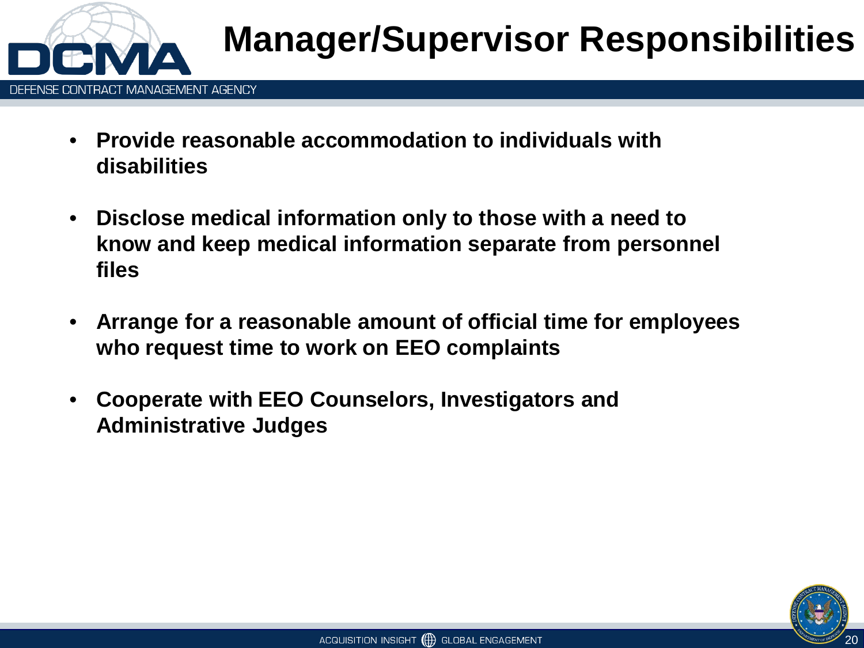

## **Manager/Supervisor Responsibilities**

- **Provide reasonable accommodation to individuals with disabilities**
- **Disclose medical information only to those with a need to know and keep medical information separate from personnel files**
- **Arrange for a reasonable amount of official time for employees who request time to work on EEO complaints**
- **Cooperate with EEO Counselors, Investigators and Administrative Judges**

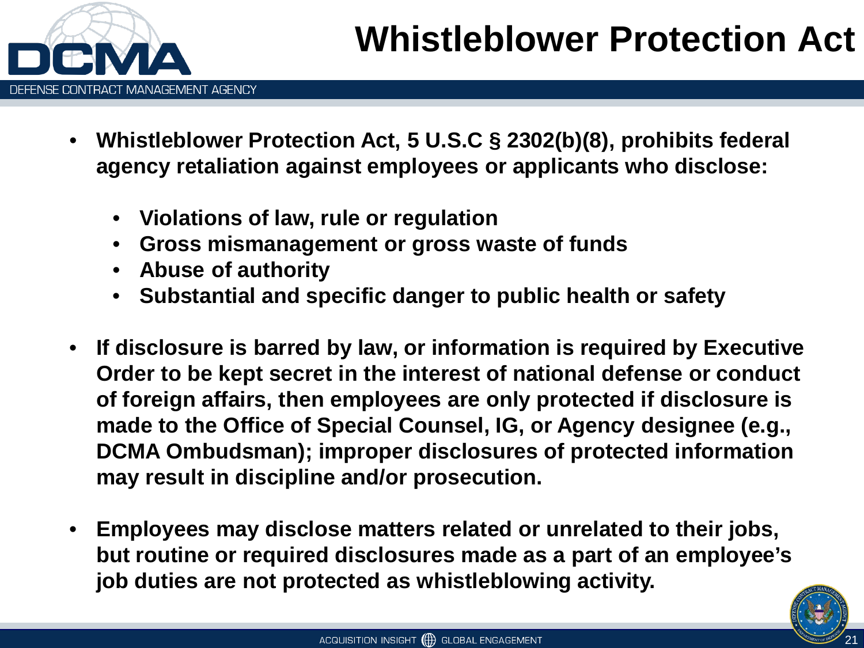

- **Whistleblower Protection Act, 5 U.S.C § 2302(b)(8), prohibits federal agency retaliation against employees or applicants who disclose:**
	- **Violations of law, rule or regulation**
	- **Gross mismanagement or gross waste of funds**
	- **Abuse of authority**
	- **Substantial and specific danger to public health or safety**
- **If disclosure is barred by law, or information is required by Executive Order to be kept secret in the interest of national defense or conduct of foreign affairs, then employees are only protected if disclosure is made to the Office of Special Counsel, IG, or Agency designee (e.g., DCMA Ombudsman); improper disclosures of protected information may result in discipline and/or prosecution.**
- **Employees may disclose matters related or unrelated to their jobs, but routine or required disclosures made as a part of an employee's job duties are not protected as whistleblowing activity.**

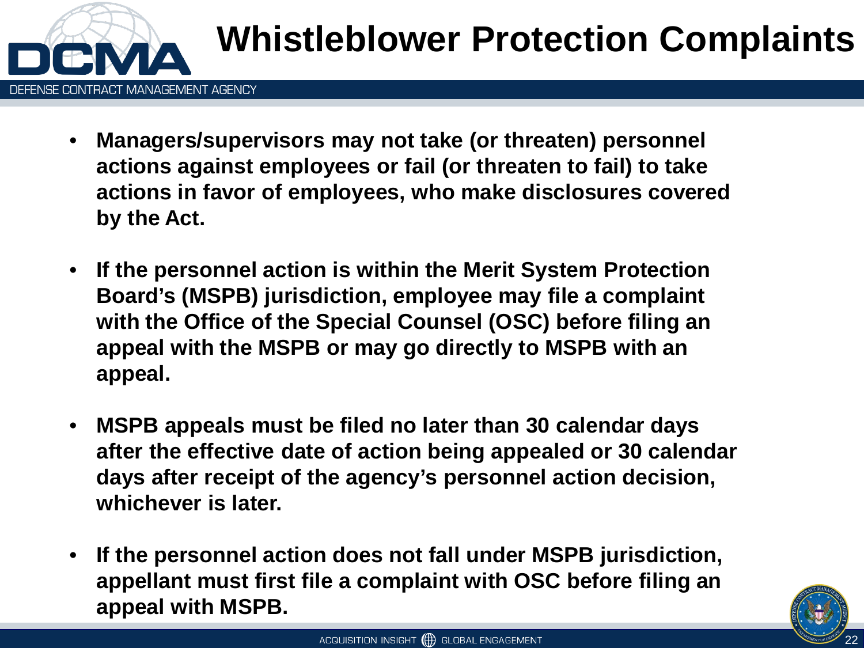

- **Managers/supervisors may not take (or threaten) personnel actions against employees or fail (or threaten to fail) to take actions in favor of employees, who make disclosures covered by the Act.**
- **If the personnel action is within the Merit System Protection Board's (MSPB) jurisdiction, employee may file a complaint with the Office of the Special Counsel (OSC) before filing an appeal with the MSPB or may go directly to MSPB with an appeal.**
- **MSPB appeals must be filed no later than 30 calendar days after the effective date of action being appealed or 30 calendar days after receipt of the agency's personnel action decision, whichever is later.**
- **If the personnel action does not fall under MSPB jurisdiction, appellant must first file a complaint with OSC before filing an appeal with MSPB.**

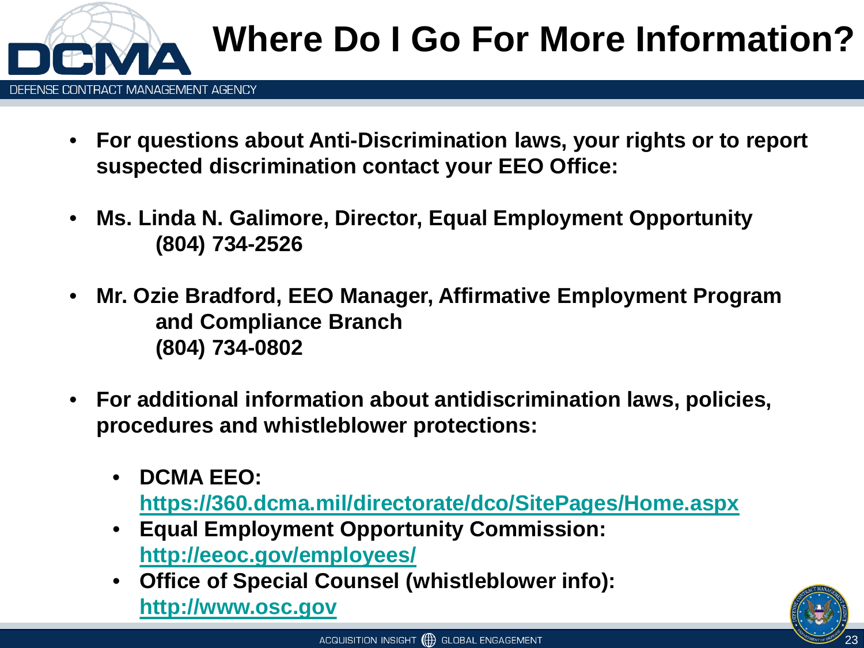

## **Where Do I Go For More Information?**

- **For questions about Anti-Discrimination laws, your rights or to report suspected discrimination contact your EEO Office:**
- **Ms. Linda N. Galimore, Director, Equal Employment Opportunity (804) 734-2526**
- **Mr. Ozie Bradford, EEO Manager, Affirmative Employment Program and Compliance Branch (804) 734-0802**
- **For additional information about antidiscrimination laws, policies, procedures and whistleblower protections:**
	- **DCMA EEO: <https://360.dcma.mil/directorate/dco/SitePages/Home.aspx>**
	- **Equal Employment Opportunity Commission: <http://eeoc.gov/employees/>**
	- **Office of Special Counsel (whistleblower info): [http://www.osc.gov](http://www.osc.gov/)**

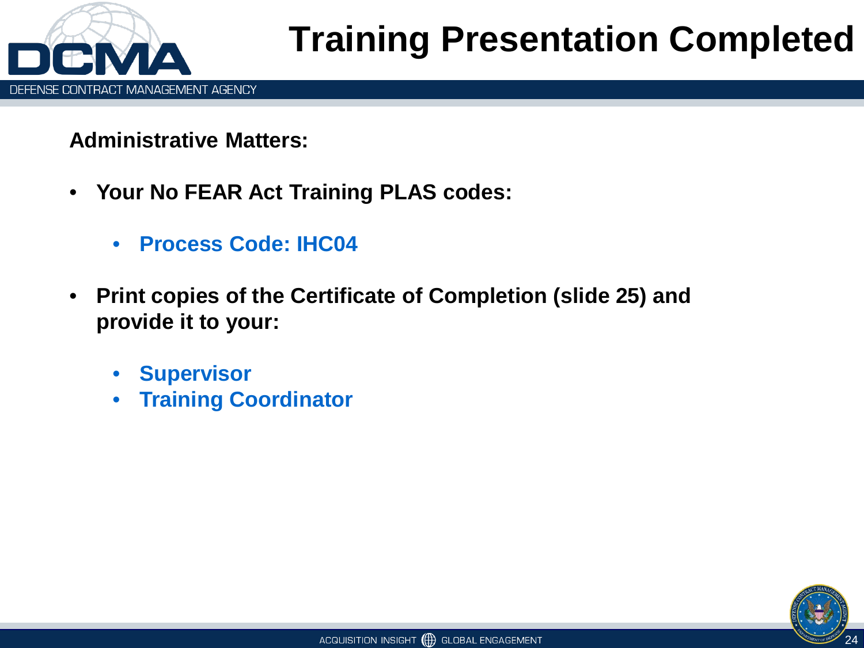

**Administrative Matters:**

- **Your No FEAR Act Training PLAS codes:**
	- **Process Code: IHC04**
- **Print copies of the Certificate of Completion (slide 25) and provide it to your:**
	- **Supervisor**
	- **Training Coordinator**